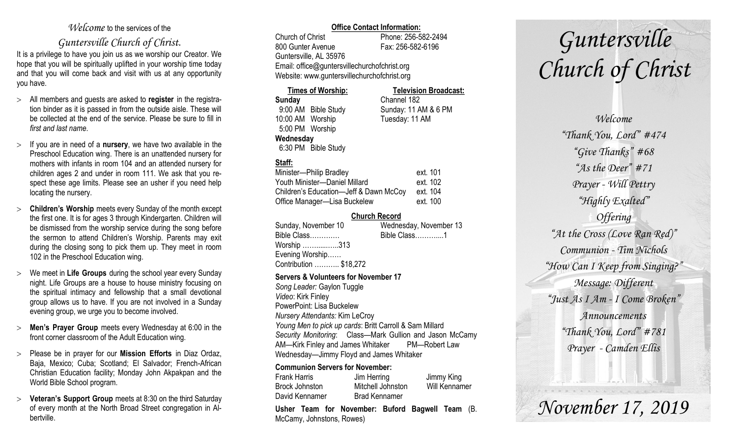#### *Welcome* to the services of the

### *Guntersville Church of Christ*.

It is a privilege to have you join us as we worship our Creator. We hope that you will be spiritually uplifted in your worship time today and that you will come back and visit with us at any opportunity you have.

- All members and guests are asked to **register** in the registration binder as it is passed in from the outside aisle. These will be collected at the end of the service. Please be sure to fill in *first and last name*.
- $\geq$  If you are in need of a **nursery**, we have two available in the Preschool Education wing. There is an unattended nursery for mothers with infants in room 104 and an attended nursery for children ages 2 and under in room 111. We ask that you respect these age limits. Please see an usher if you need help locating the nursery.
- **Children's Worship** meets every Sunday of the month except the first one. It is for ages 3 through Kindergarten. Children will be dismissed from the worship service during the song before the sermon to attend Children's Worship. Parents may exit during the closing song to pick them up. They meet in room 102 in the Preschool Education wing.
- We meet in **Life Groups** during the school year every Sunday night. Life Groups are a house to house ministry focusing on the spiritual intimacy and fellowship that a small devotional group allows us to have. If you are not involved in a Sunday evening group, we urge you to become involved.
- **Men's Prayer Group** meets every Wednesday at 6:00 in the front corner classroom of the Adult Education wing.
- Please be in prayer for our **Mission Efforts** in Diaz Ordaz, Baja, Mexico; Cuba; Scotland; El Salvador; French-African Christian Education facility; Monday John Akpakpan and the World Bible School program.
- **Veteran's Support Group** meets at 8:30 on the third Saturday of every month at the North Broad Street congregation in Albertville.

#### **Office Contact Information:**

Church of Christ Phone: 256-582-2494 800 Gunter Avenue Fax: 256-582-6196 Guntersville, AL 35976 Email: office@guntersvillechurchofchrist.org Website: www.guntersvillechurchofchrist.org

#### **Times of Worship: Television Broadcast:**

**Sunday** Channel 182 9:00 AM Bible Study Sunday: 11 AM & 6 PM 10:00 AM Worship Tuesday: 11 AM 5:00 PM Worship **Wednesday** 6:30 PM Bible Study

#### **Staff:**

| Minister-Philip Bradley                | ext. 101 |
|----------------------------------------|----------|
| Youth Minister-Daniel Millard          | ext. 102 |
| Children's Education-Jeff & Dawn McCoy | ext. 104 |
| Office Manager-Lisa Buckelew           | ext. 100 |

#### **Church Record**

| Sunday, November 10    | Wednesday, November 13 |
|------------------------|------------------------|
| Bible Class            | Bible Class1           |
| Worship 313            |                        |
| Evening Worship        |                        |
| Contribution  \$18,272 |                        |
|                        |                        |

#### **Servers & Volunteers for November 17**

*Song Leader:* Gaylon Tuggle *Video*: Kirk Finley PowerPoint: Lisa Buckelew *Nursery Attendants:* Kim LeCroy *Young Men to pick up cards*: Britt Carroll & Sam Millard *Security Monitoring*: Class—Mark Gullion and Jason McCamy AM—Kirk Finley and James Whitaker PM—Robert Law Wednesday—Jimmy Floyd and James Whitaker

#### **Communion Servers for November:**

|                       | Lleber Team for Nevember Duferd Demuell Team |               |
|-----------------------|----------------------------------------------|---------------|
| David Kennamer        | <b>Brad Kennamer</b>                         |               |
| <b>Brock Johnston</b> | Mitchell Johnston                            | Will Kennamer |
| <b>Frank Harris</b>   | Jim Herring                                  | Jimmy King    |

**Usher Team for November: Buford Bagwell Team** (B. McCamy, Johnstons, Rowes)

# *Guntersville Church of Christ*

*Welcome "Thank You, Lord" #474 "Give Thanks" #68 "As the Deer" #71 Prayer - Will Pettry "Highly Exalted" Offering "At the Cross (Love Ran Red)" Communion - Tim Nichols "How Can I Keep from Singing?" Message: Different "Just As I Am - I Come Broken" Announcements "Thank You, Lord" #781 Prayer - Camden Ellis*

## *November 17, 2019*